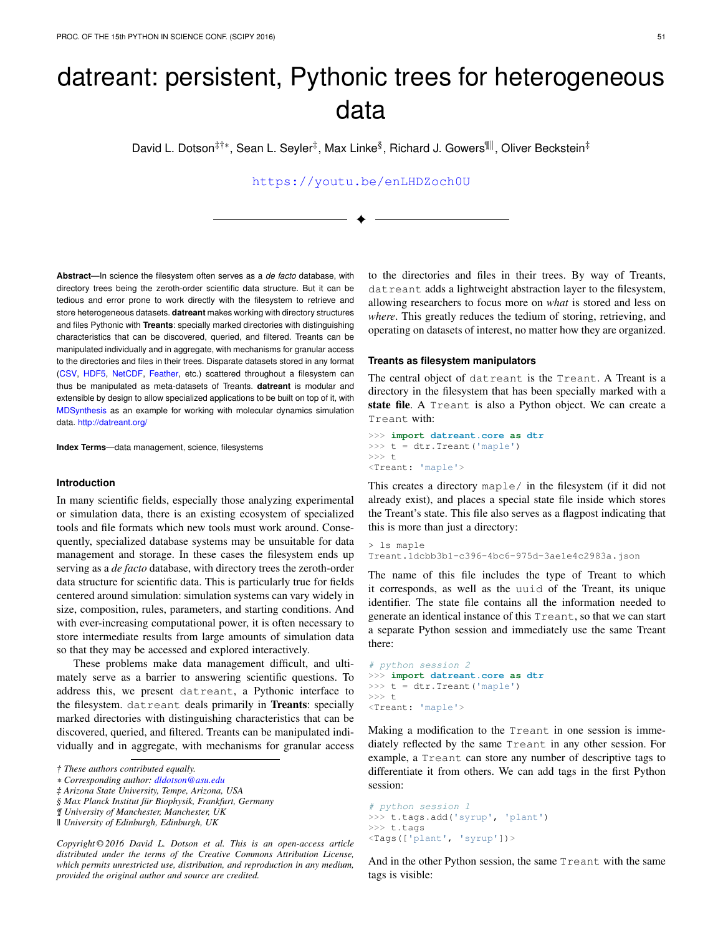# datreant: persistent, Pythonic trees for heterogeneous data

David L. Dotson<sup>‡†</sup>\*, Sean L. Seyler<sup>‡</sup>, Max Linke<sup>§</sup>, Richard J. Gowers<sup>¶∥</sup>, Oliver Beckstein<sup>‡</sup>

<https://youtu.be/enLHDZoch0U>

✦

**Abstract**—In science the filesystem often serves as a *de facto* database, with directory trees being the zeroth-order scientific data structure. But it can be tedious and error prone to work directly with the filesystem to retrieve and store heterogeneous datasets. **datreant** makes working with directory structures and files Pythonic with **Treants**: specially marked directories with distinguishing characteristics that can be discovered, queried, and filtered. Treants can be manipulated individually and in aggregate, with mechanisms for granular access to the directories and files in their trees. Disparate datasets stored in any format [\(CSV,](https://docs.python.org/2/library/csv.html) [HDF5,](https://www.hdfgroup.org/HDF5/) [NetCDF,](http://www.unidata.ucar.edu/software/netcdf/) [Feather,](https://github.com/wesm/feather) etc.) scattered throughout a filesystem can thus be manipulated as meta-datasets of Treants. **datreant** is modular and extensible by design to allow specialized applications to be built on top of it, with [MDSynthesis](http://mdsynthesis.readthedocs.io/) as an example for working with molecular dynamics simulation data. <http://datreant.org/>

**Index Terms**—data management, science, filesystems

#### **Introduction**

In many scientific fields, especially those analyzing experimental or simulation data, there is an existing ecosystem of specialized tools and file formats which new tools must work around. Consequently, specialized database systems may be unsuitable for data management and storage. In these cases the filesystem ends up serving as a *de facto* database, with directory trees the zeroth-order data structure for scientific data. This is particularly true for fields centered around simulation: simulation systems can vary widely in size, composition, rules, parameters, and starting conditions. And with ever-increasing computational power, it is often necessary to store intermediate results from large amounts of simulation data so that they may be accessed and explored interactively.

These problems make data management difficult, and ultimately serve as a barrier to answering scientific questions. To address this, we present datreant, a Pythonic interface to the filesystem. datreant deals primarily in Treants: specially marked directories with distinguishing characteristics that can be discovered, queried, and filtered. Treants can be manipulated individually and in aggregate, with mechanisms for granular access

*† These authors contributed equally.*

*Copyright © 2016 David L. Dotson et al. This is an open-access article distributed under the terms of the Creative Commons Attribution License, which permits unrestricted use, distribution, and reproduction in any medium, provided the original author and source are credited.*

to the directories and files in their trees. By way of Treants, datreant adds a lightweight abstraction layer to the filesystem, allowing researchers to focus more on *what* is stored and less on *where*. This greatly reduces the tedium of storing, retrieving, and operating on datasets of interest, no matter how they are organized.

## **Treants as filesystem manipulators**

The central object of datreant is the Treant. A Treant is a directory in the filesystem that has been specially marked with a state file. A Treant is also a Python object. We can create a Treant with:

```
>>> import datreant.core as dtr
\Rightarrow t = dtr. Treant ('maple')
>> t<Treant: 'maple'>
```
This creates a directory maple/ in the filesystem (if it did not already exist), and places a special state file inside which stores the Treant's state. This file also serves as a flagpost indicating that this is more than just a directory:

```
> ls maple
Treant.1dcbb3b1-c396-4bc6-975d-3ae1e4c2983a.json
```
The name of this file includes the type of Treant to which it corresponds, as well as the uuid of the Treant, its unique identifier. The state file contains all the information needed to generate an identical instance of this Treant, so that we can start a separate Python session and immediately use the same Treant there:

```
# python session 2
>>> import datreant.core as dtr
>>> t = dtr.Treant('maple')
>>> +<Treant: 'maple'>
```
Making a modification to the Treant in one session is immediately reflected by the same Treant in any other session. For example, a Treant can store any number of descriptive tags to differentiate it from others. We can add tags in the first Python session:

```
# python session 1
>>> t.tags.add('syrup', 'plant')
>>> t.tags
<Tags(['plant', 'syrup'])>
```
And in the other Python session, the same Treant with the same tags is visible:

*<sup>\*</sup> Corresponding author: [dldotson@asu.edu](mailto:dldotson@asu.edu)*

*<sup>‡</sup> Arizona State University, Tempe, Arizona, USA*

*<sup>§</sup> Max Planck Institut für Biophysik, Frankfurt, Germany*

*<sup>¶</sup> University of Manchester, Manchester, UK*

*<sup>||</sup> University of Edinburgh, Edinburgh, UK*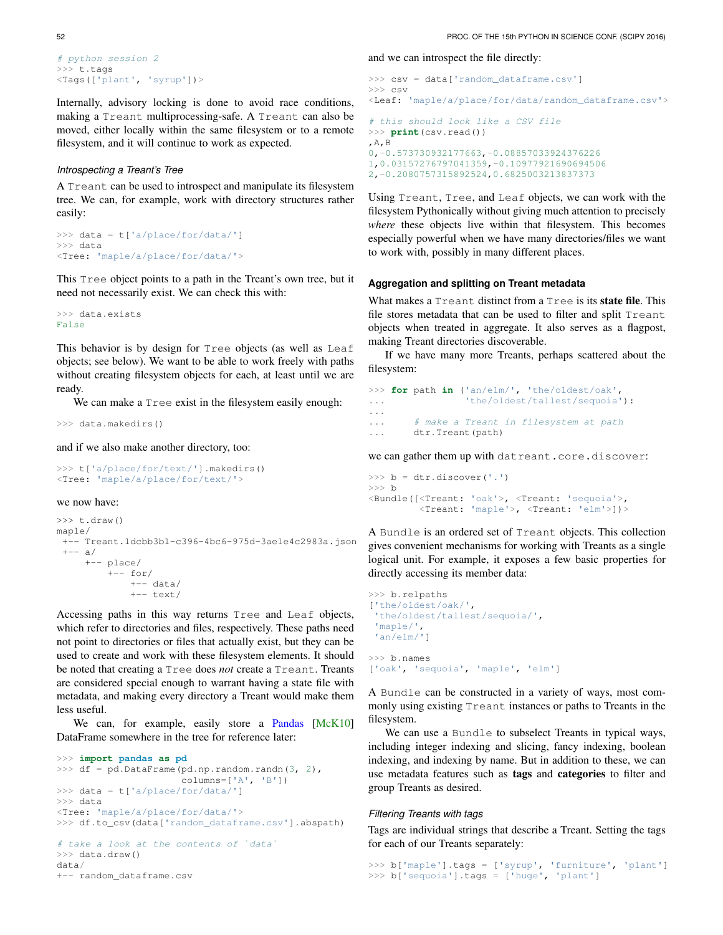```
# python session 2
>>> t.tags
<Tags(['plant', 'syrup'])>
```
Internally, advisory locking is done to avoid race conditions, making a Treant multiprocessing-safe. A Treant can also be moved, either locally within the same filesystem or to a remote filesystem, and it will continue to work as expected.

## *Introspecting a Treant's Tree*

A Treant can be used to introspect and manipulate its filesystem tree. We can, for example, work with directory structures rather easily:

```
>>> data = t['a/place/for/data/']
>>> data
<Tree: 'maple/a/place/for/data/'>
```
This Tree object points to a path in the Treant's own tree, but it need not necessarily exist. We can check this with:

```
>>> data.exists
False
```
This behavior is by design for Tree objects (as well as Leaf objects; see below). We want to be able to work freely with paths without creating filesystem objects for each, at least until we are ready.

We can make a Tree exist in the filesystem easily enough:

>>> data.makedirs()

and if we also make another directory, too:

```
>>> t['a/place/for/text/'].makedirs()
<Tree: 'maple/a/place/for/text/'>
```
we now have:

```
\gg t.draw()
maple/
 +-- Treant.1dcbb3b1-c396-4bc6-975d-3ae1e4c2983a.json
 + - - a/+-- place/
         +-- for/
             +-- data/
             +-- text/
```
Accessing paths in this way returns Tree and Leaf objects, which refer to directories and files, respectively. These paths need not point to directories or files that actually exist, but they can be used to create and work with these filesystem elements. It should be noted that creating a Tree does *not* create a Treant. Treants are considered special enough to warrant having a state file with metadata, and making every directory a Treant would make them less useful.

We can, for example, easily store a [Pandas](http://pandas.pydata.org/) [\[McK10\]](#page-5-0) DataFrame somewhere in the tree for reference later:

```
>>> import pandas as pd
>>> df = pd.DataFrame(pd.np.random.randn(3, 2),
                      columns=['A', 'B'])
>>> data = t['a/place/for/data/']
>>> data
<Tree: 'maple/a/place/for/data/'>
>>> df.to_csv(data['random_dataframe.csv'].abspath)
# take a look at the contents of `data`
>>> data.draw()
data/
```

```
+-- random_dataframe.csv
```
and we can introspect the file directly:

```
>>> csv = data['random_dataframe.csv']
>>> csv
<Leaf: 'maple/a/place/for/data/random_dataframe.csv'>
# this should look like a CSV file
>>> print(csv.read())
,A,B
0,-0.573730932177663,-0.08857033924376226
1,0.03157276797041359,-0.10977921690694506
2,-0.2080757315892524,0.6825003213837373
```
Using Treant, Tree, and Leaf objects, we can work with the filesystem Pythonically without giving much attention to precisely *where* these objects live within that filesystem. This becomes especially powerful when we have many directories/files we want to work with, possibly in many different places.

## **Aggregation and splitting on Treant metadata**

What makes a Treant distinct from a Tree is its **state file**. This file stores metadata that can be used to filter and split Treant objects when treated in aggregate. It also serves as a flagpost, making Treant directories discoverable.

If we have many more Treants, perhaps scattered about the filesystem:

```
>>> for path in ('an/elm/', 'the/oldest/oak',
... 'the/oldest/tallest/sequoia'):
...
... # make a Treant in filesystem at path
... dtr.Treant(path)
```
we can gather them up with datreant.core.discover:

```
>>> b = dtr.discover('.')
>> h
<Bundle([<Treant: 'oak'>, <Treant: 'sequoia'>,
        <Treant: 'maple'>, <Treant: 'elm'>])>
```
A Bundle is an ordered set of Treant objects. This collection gives convenient mechanisms for working with Treants as a single logical unit. For example, it exposes a few basic properties for directly accessing its member data:

```
>>> b.relpaths
['the/oldest/oak/',
 'the/oldest/tallest/sequoia/',
 'maple/',
 'an/elm/']
>>> b.names
['oak', 'sequoia', 'maple', 'elm']
```
A Bundle can be constructed in a variety of ways, most commonly using existing Treant instances or paths to Treants in the filesystem.

We can use a Bundle to subselect Treants in typical ways, including integer indexing and slicing, fancy indexing, boolean indexing, and indexing by name. But in addition to these, we can use metadata features such as tags and categories to filter and group Treants as desired.

## *Filtering Treants with tags*

Tags are individual strings that describe a Treant. Setting the tags for each of our Treants separately:

```
>>> b['maple'].tags = ['syrup', 'furniture', 'plant']
>>> b['sequoia'].tags = ['huge', 'plant']
```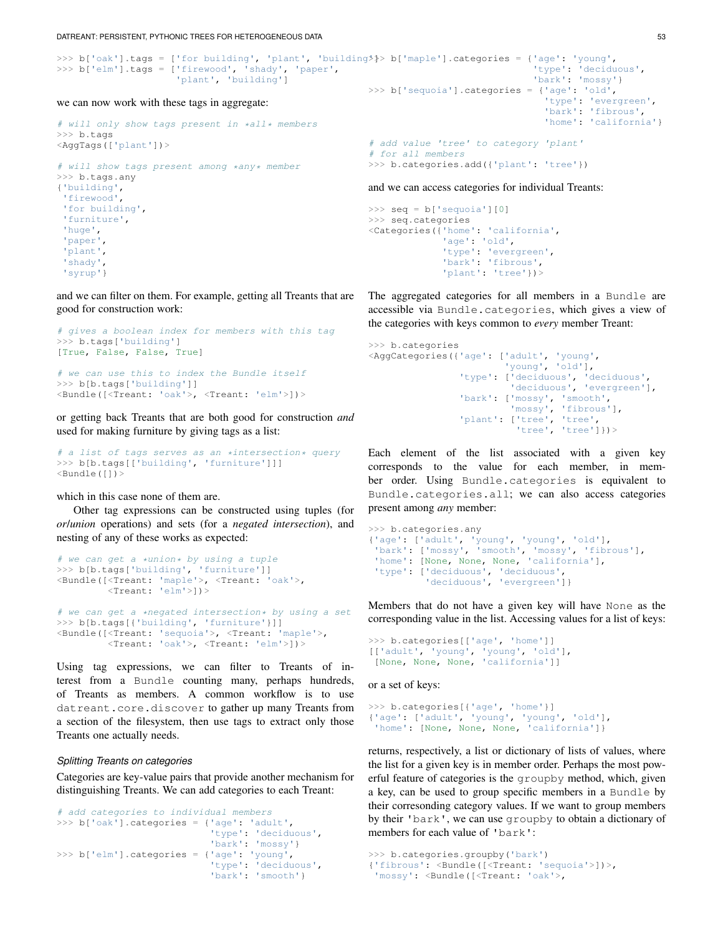DATREANT: PERSISTENT, PYTHONIC TREES FOR HETEROGENEOUS DATA 53

```
>>> b['oak'].tags = ['for building', 'plant', 'building<sup>y</sup>}> b['maple'].categories = {'age': 'young',
>>> b['elm'].tags = ['firewood', 'shady', 'paper',
                       'plant', 'building']
we can now work with these tags in aggregate:
                                                                                           'type': 'deciduous',
                                                                                          'bark': 'mossy'}
                                                           >>> b['sequoia'].categories = {'age': 'old',
                                                                                             'type': 'evergreen',
```

```
# will only show tags present in *all* members
>>> b.tags
<AggTags(['plant'])>
# will show tags present among *any* member
>>> b.tags.any
{'building',
 'firewood',
'for building',
 'furniture',
'huge',
 'paper',
 'plant',
 'shady',
```
'syrup'}

and we can filter on them. For example, getting all Treants that are good for construction work:

```
# gives a boolean index for members with this tag
>>> b.tags['building']
[True, False, False, True]
# we can use this to index the Bundle itself
>>> b[b.tags['building']]
<Bundle([<Treant: 'oak'>, <Treant: 'elm'>])>
```
or getting back Treants that are both good for construction *and* used for making furniture by giving tags as a list:

```
# a list of tags serves as an *intersection* query
>>> b[b.tags[['building', 'furniture']]]
\leBundle([]) >
```
which in this case none of them are.

Other tag expressions can be constructed using tuples (for *or*/*union* operations) and sets (for a *negated intersection*), and nesting of any of these works as expected:

```
# we can get a *union* by using a tuple
>>> b[b.tags['building', 'furniture']]
<Bundle([<Treant: 'maple'>, <Treant: 'oak'>,
         <Treant: 'elm'>])>
# we can get a *negated intersection* by using a set
>>> b[b.tags[{'building', 'furniture'}]]
<Bundle([<Treant: 'sequoia'>, <Treant: 'maple'>,
         <Treant: 'oak'>, <Treant: 'elm'>])>
```
Using tag expressions, we can filter to Treants of interest from a Bundle counting many, perhaps hundreds, of Treants as members. A common workflow is to use datreant.core.discover to gather up many Treants from a section of the filesystem, then use tags to extract only those Treants one actually needs.

## *Splitting Treants on categories*

Categories are key-value pairs that provide another mechanism for distinguishing Treants. We can add categories to each Treant:

```
# add categories to individual members
>>> b['oak'].categories = {'age': 'adult',
                            'type': 'deciduous',
                           'bark': 'mossy'}
>>> b['elm'].categories = {'age': 'young',
                           'type': 'deciduous',
                           'bark': 'smooth'}
```

```
'bark': 'fibrous',
                                'home': 'california'}
# add value 'tree' to category 'plant'
# for all members
>>> b.categories.add({'plant': 'tree'})
```
and we can access categories for individual Treants:

```
>>> seq = b['sequoia'][0]
>>> seq.categories
<Categories({'home': 'california',
             'age': 'old',
             'type': 'evergreen',
             'bark': 'fibrous',
             'plant': 'tree'})>
```
The aggregated categories for all members in a Bundle are accessible via Bundle.categories, which gives a view of the categories with keys common to *every* member Treant:

```
>>> b.categories
<AggCategories({'age': ['adult', 'young',
                         'young', 'old'],
                 'type': ['deciduous', 'deciduous',
                          'deciduous', 'evergreen'],
                'bark': ['mossy', 'smooth',
                          'mossy', 'fibrous'],
                 'plant': ['tree', 'tree',
                           'tree', 'tree']})>
```
Each element of the list associated with a given key corresponds to the value for each member, in member order. Using Bundle.categories is equivalent to Bundle.categories.all; we can also access categories present among *any* member:

```
>>> b.categories.any
{'age': ['adult', 'young', 'young', 'old'],
 'bark': ['mossy', 'smooth', 'mossy', 'fibrous'],
 'home': [None, None, None, 'california'],
 'type': ['deciduous', 'deciduous',
          'deciduous', 'evergreen']}
```
Members that do not have a given key will have None as the corresponding value in the list. Accessing values for a list of keys:

```
>>> b.categories[['age', 'home']]
[['adult', 'young', 'young', 'old'],
 [None, None, None, 'california']]
```
or a set of keys:

```
>>> b.categories[{'age', 'home'}]
{'age': ['adult', 'young', 'young', 'old'],
 'home': [None, None, None, 'california']}
```
returns, respectively, a list or dictionary of lists of values, where the list for a given key is in member order. Perhaps the most powerful feature of categories is the groupby method, which, given a key, can be used to group specific members in a Bundle by their corresonding category values. If we want to group members by their 'bark', we can use groupby to obtain a dictionary of members for each value of 'bark':

```
>>> b.categories.groupby('bark')
{'fibrous': <Bundle([<Treant: 'sequoia'>])>,
'mossy': <Bundle([<Treant: 'oak'>,
```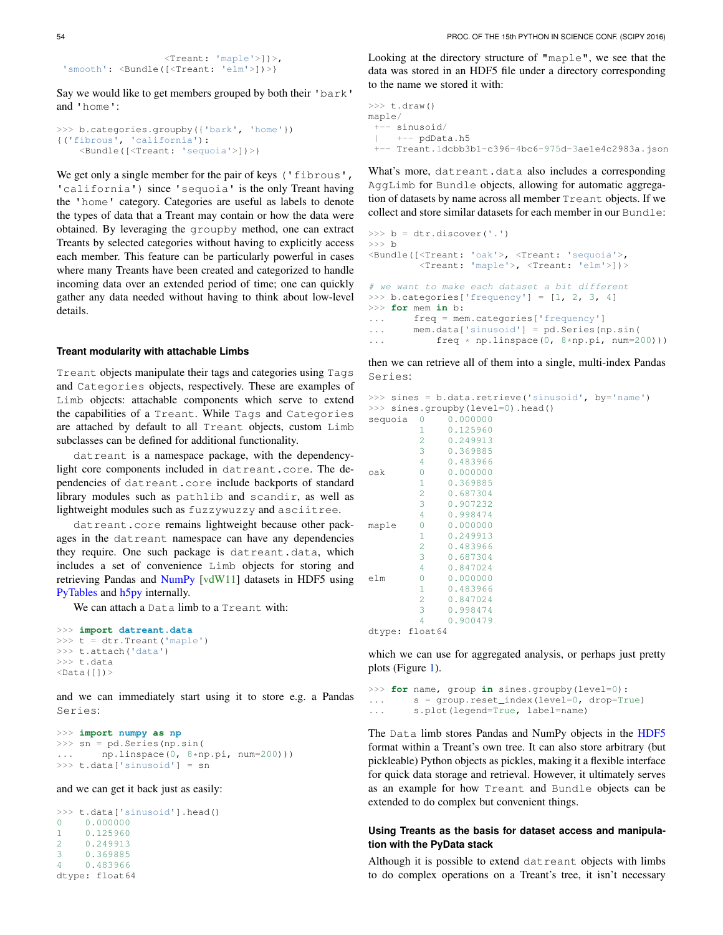```
<Treant: 'maple'>])>,
'smooth': <Bundle([<Treant: 'elm'>])>}
```
Say we would like to get members grouped by both their 'bark' and 'home':

```
>>> b.categories.groupby({'bark', 'home'})
{('fibrous', 'california'):
   <Bundle([<Treant: 'sequoia'>])>}
```
We get only a single member for the pair of keys ('fibrous', 'california') since 'sequoia' is the only Treant having the 'home' category. Categories are useful as labels to denote the types of data that a Treant may contain or how the data were obtained. By leveraging the groupby method, one can extract Treants by selected categories without having to explicitly access each member. This feature can be particularly powerful in cases where many Treants have been created and categorized to handle incoming data over an extended period of time; one can quickly gather any data needed without having to think about low-level details.

# **Treant modularity with attachable Limbs**

Treant objects manipulate their tags and categories using Tags and Categories objects, respectively. These are examples of Limb objects: attachable components which serve to extend the capabilities of a Treant. While Tags and Categories are attached by default to all Treant objects, custom Limb subclasses can be defined for additional functionality.

datreant is a namespace package, with the dependencylight core components included in datreant.core. The dependencies of datreant.core include backports of standard library modules such as pathlib and scandir, as well as lightweight modules such as fuzzywuzzy and asciitree.

datreant.core remains lightweight because other packages in the datreant namespace can have any dependencies they require. One such package is datreant.data, which includes a set of convenience Limb objects for storing and retrieving Pandas and [NumPy](http://www.numpy.org/) [\[vdW11\]](#page-5-1) datasets in HDF5 using [PyTables](http://www.pytables.org/) and [h5py](http://www.h5py.org/) internally.

We can attach a Data limb to a Treant with:

```
>>> import datreant.data
>>> t = dtr.Treant('maple')
>>> t.attach('data')
>>> t.data
\langleData([]) >
```
and we can immediately start using it to store e.g. a Pandas Series:

```
>>> import numpy as np
>>> sn = pd.Series(np.sin(
... np.linspace(0, 8*np.pi, num=200)))
>>> t.data['sinusoid'] = sn
```
and we can get it back just as easily:

>>> t.data['sinusoid'].head() 0 0.000000 1 0.125960 2 0.249913 3 0.369885 4 0.483966 dtype: float64

Looking at the directory structure of "maple", we see that the data was stored in an HDF5 file under a directory corresponding to the name we stored it with:

```
>> t.draw()maple/
 +-- sinusoid/
| +-- pdData.h5
+-- Treant.1dcbb3b1-c396-4bc6-975d-3ae1e4c2983a.json
```
What's more, datreant.data also includes a corresponding AggLimb for Bundle objects, allowing for automatic aggregation of datasets by name across all member Treant objects. If we collect and store similar datasets for each member in our Bundle:

```
>>> b = dtr.discover('.')
>> h
<Bundle([<Treant: 'oak'>, <Treant: 'sequoia'>,
        <Treant: 'maple'>, <Treant: 'elm'>])>
# we want to make each dataset a bit different
>>> b.categories['frequency'] = [1, 2, 3, 4]
>>> for mem in b:
... freq = mem.categories['frequency']
... mem.data['sinusoid'] = pd.Series(np.sin(
... free * npu in space(0, 8 * np.pi, num=200)))
```
then we can retrieve all of them into a single, multi-index Pandas Series:

```
>>> sines = b.data.retrieve('sinusoid', by='name')
>>> sines.groupby(level=0).head()
sequoia 0 0.000000
        1 0.125960
```

|       | 2              | 0.249913 |
|-------|----------------|----------|
|       | 3              | 0.369885 |
|       | 4              | 0.483966 |
| oak   | 0              | 0.000000 |
|       | 1              | 0.369885 |
|       | $\overline{2}$ | 0.687304 |
|       | 3              | 0.907232 |
|       | 4              | 0.998474 |
| maple | 0              | 0.000000 |
|       | 1              | 0.249913 |
|       | $\overline{2}$ | 0.483966 |
|       | 3              | 0.687304 |
|       | 4              | 0.847024 |
| elm   | 0              | 0.000000 |
|       | 1              | 0.483966 |
|       | 2              | 0.847024 |
|       | 3              | 0.998474 |
|       | 4              | 0.900479 |
|       | dtype: float64 |          |

which we can use for aggregated analysis, or perhaps just pretty plots (Figure [1\)](#page-4-0).

```
>>> for name, group in sines.groupby(level=0):
... s = group.reset_index(level=0, drop=True)
... s.plot(legend=True, label=name)
```
The Data limb stores Pandas and NumPy objects in the [HDF5](https://www.hdfgroup.org/HDF5/) format within a Treant's own tree. It can also store arbitrary (but pickleable) Python objects as pickles, making it a flexible interface for quick data storage and retrieval. However, it ultimately serves as an example for how Treant and Bundle objects can be extended to do complex but convenient things.

# **Using Treants as the basis for dataset access and manipulation with the PyData stack**

Although it is possible to extend datreant objects with limbs to do complex operations on a Treant's tree, it isn't necessary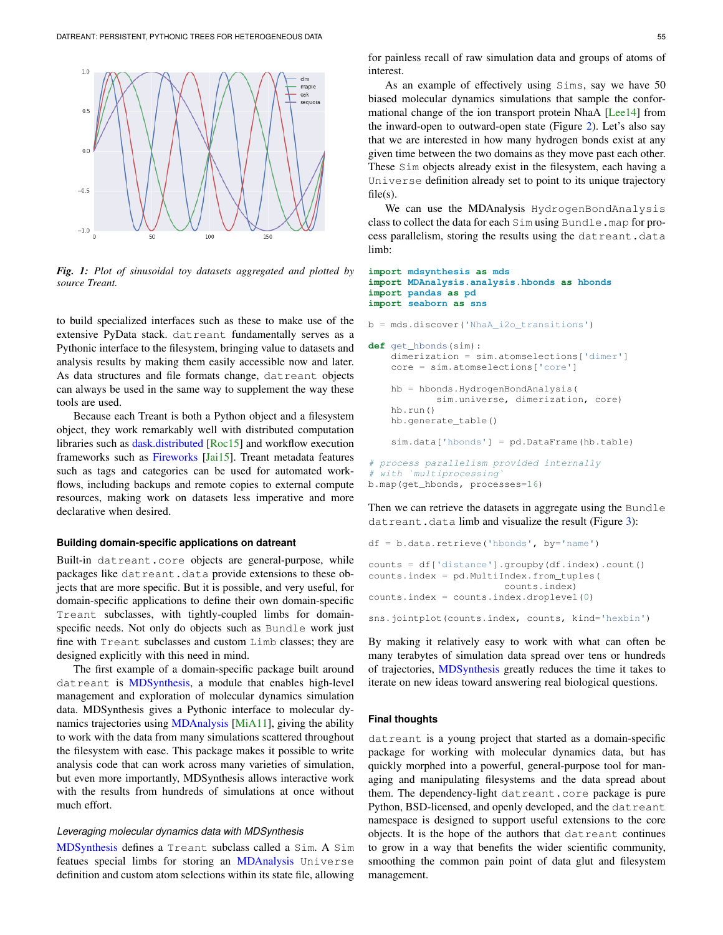<span id="page-4-0"></span>

*Fig. 1: Plot of sinusoidal toy datasets aggregated and plotted by source Treant.*

to build specialized interfaces such as these to make use of the extensive PyData stack. datreant fundamentally serves as a Pythonic interface to the filesystem, bringing value to datasets and analysis results by making them easily accessible now and later. As data structures and file formats change, datreant objects can always be used in the same way to supplement the way these tools are used.

Because each Treant is both a Python object and a filesystem object, they work remarkably well with distributed computation libraries such as [dask.distributed](http://distributed.readthedocs.io) [\[Roc15\]](#page-5-2) and workflow execution frameworks such as [Fireworks](https://pythonhosted.org/FireWorks/) [\[Jai15\]](#page-5-3). Treant metadata features such as tags and categories can be used for automated workflows, including backups and remote copies to external compute resources, making work on datasets less imperative and more declarative when desired.

## **Building domain-specific applications on datreant**

Built-in datreant.core objects are general-purpose, while packages like datreant.data provide extensions to these objects that are more specific. But it is possible, and very useful, for domain-specific applications to define their own domain-specific Treant subclasses, with tightly-coupled limbs for domainspecific needs. Not only do objects such as Bundle work just fine with Treant subclasses and custom Limb classes; they are designed explicitly with this need in mind.

The first example of a domain-specific package built around datreant is [MDSynthesis,](http://mdsynthesis.readthedocs.io/) a module that enables high-level management and exploration of molecular dynamics simulation data. MDSynthesis gives a Pythonic interface to molecular dynamics trajectories using [MDAnalysis](http://www.mdanalysis.org/) [\[MiA11\]](#page-5-4), giving the ability to work with the data from many simulations scattered throughout the filesystem with ease. This package makes it possible to write analysis code that can work across many varieties of simulation, but even more importantly, MDSynthesis allows interactive work with the results from hundreds of simulations at once without much effort.

## *Leveraging molecular dynamics data with MDSynthesis*

[MDSynthesis](http://mdsynthesis.readthedocs.io/) defines a Treant subclass called a Sim. A Sim featues special limbs for storing an [MDAnalysis](http://www.mdanalysis.org/) Universe definition and custom atom selections within its state file, allowing

for painless recall of raw simulation data and groups of atoms of interest.

As an example of effectively using Sims, say we have 50 biased molecular dynamics simulations that sample the conformational change of the ion transport protein NhaA [\[Lee14\]](#page-5-5) from the inward-open to outward-open state (Figure [2\)](#page-5-6). Let's also say that we are interested in how many hydrogen bonds exist at any given time between the two domains as they move past each other. These Sim objects already exist in the filesystem, each having a Universe definition already set to point to its unique trajectory  $file(s)$ .

We can use the MDAnalysis HydrogenBondAnalysis class to collect the data for each Sim using Bundle.map for process parallelism, storing the results using the datreant.data limb:

#### **import mdsynthesis as mds import MDAnalysis.analysis.hbonds as hbonds import pandas as pd import seaborn as sns**

b = mds.discover('NhaA\_i2o\_transitions')

```
def get_hbonds(sim):
    dimerization = sim.atomselections['dimer']
    core = sim.atomselections['core']
    hb = hbonds.HydrogenBondAnalysis(
            sim.universe, dimerization, core)
    hb.run()
    hb.generate_table()
```
sim.data['hbonds'] = pd.DataFrame(hb.table)

```
# process parallelism provided internally
 with `multiprocessing
b.map(get_hbonds, processes=16)
```
Then we can retrieve the datasets in aggregate using the Bundle datreant.data limb and visualize the result (Figure [3\)](#page-5-7):

```
df = b.data.retrieve('hbonds', by='name')
counts = df['distance'].groupby(df.index).count()
counts.index = pd.MultiIndex.from_tuples(
                        counts.index)
counts.index = counts.index.droplevel(0)
sns.jointplot(counts.index, counts, kind='hexbin')
```
By making it relatively easy to work with what can often be many terabytes of simulation data spread over tens or hundreds of trajectories, [MDSynthesis](http://mdsynthesis.readthedocs.io/) greatly reduces the time it takes to iterate on new ideas toward answering real biological questions.

## **Final thoughts**

datreant is a young project that started as a domain-specific package for working with molecular dynamics data, but has quickly morphed into a powerful, general-purpose tool for managing and manipulating filesystems and the data spread about them. The dependency-light datreant.core package is pure Python, BSD-licensed, and openly developed, and the datreant namespace is designed to support useful extensions to the core objects. It is the hope of the authors that datreant continues to grow in a way that benefits the wider scientific community, smoothing the common pain point of data glut and filesystem management.